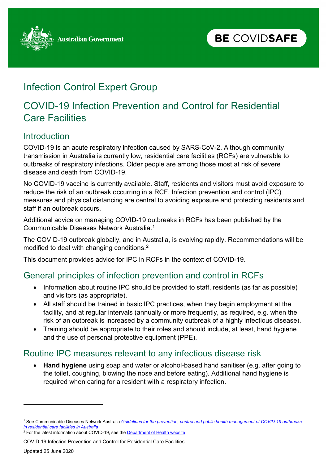

## Infection Control Expert Group

## COVID-19 Infection Prevention and Control for Residential Care Facilities

#### **Introduction**

COVID-19 is an acute respiratory infection caused by SARS-CoV-2. Although community transmission in Australia is currently low, residential care facilities (RCFs) are vulnerable to outbreaks of respiratory infections. Older people are among those most at risk of severe disease and death from COVID-19.

No COVID-19 vaccine is currently available. Staff, residents and visitors must avoid exposure to reduce the risk of an outbreak occurring in a RCF. Infection prevention and control (IPC) measures and physical distancing are central to avoiding exposure and protecting residents and staff if an outbreak occurs.

Additional advice on managing COVID-19 outbreaks in RCFs has been published by the Communicable Diseases Network Australia[.1](#page-0-0)

The COVID-19 outbreak globally, and in Australia, is evolving rapidly. Recommendations will be modified to deal with changing conditions.[2](#page-0-1)

This document provides advice for IPC in RCFs in the context of COVID-19.

#### General principles of infection prevention and control in RCFs

- Information about routine IPC should be provided to staff, residents (as far as possible) and visitors (as appropriate).
- All staff should be trained in basic IPC practices, when they begin employment at the facility, and at regular intervals (annually or more frequently, as required, e.g. when the risk of an outbreak is increased by a community outbreak of a highly infectious disease).
- Training should be appropriate to their roles and should include, at least, hand hygiene and the use of personal protective equipment (PPE).

#### Routine IPC measures relevant to any infectious disease risk

• **Hand hygiene** using soap and water or alcohol-based hand sanitiser (e.g. after going to the toilet, coughing, blowing the nose and before eating). Additional hand hygiene is required when caring for a resident with a respiratory infection.

<span id="page-0-1"></span> $2$  For the latest information about COVID-19, see th[e Department of Health website](https://health.govcms.gov.au/resources/collections/novel-coronavirus-2019-ncov-resources)

COVID-19 Infection Prevention and Control for Residential Care Facilities

-

<span id="page-0-0"></span><sup>1</sup> See Communicable Diseases Network Australia *Guidelines [for the prevention, control and public health management of COVID-19 outbreaks](https://www.health.gov.au/resources/publications/coronavirus-covid-19-guidelines-for-outbreaks-in-residential-care-facilities)  [in residential care facilities in Australia](https://www.health.gov.au/resources/publications/coronavirus-covid-19-guidelines-for-outbreaks-in-residential-care-facilities)*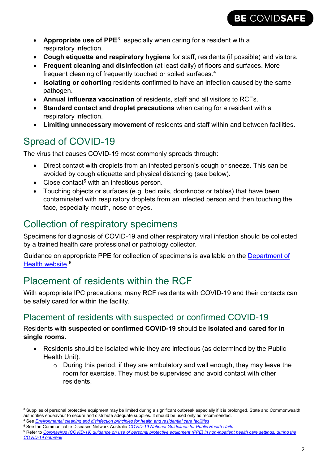

- **Appropriate use of PPE**[3,](#page-1-0) especially when caring for a resident with a respiratory infection.
- **Cough etiquette and respiratory hygiene** for staff, residents (if possible) and visitors.
- **Frequent cleaning and disinfection** (at least daily) of floors and surfaces. More frequent cleaning of frequently touched or soiled surfaces. [4](#page-1-1)
- **Isolating or cohorting** residents confirmed to have an infection caused by the same pathogen.
- **Annual influenza vaccination** of residents, staff and all visitors to RCFs.
- **Standard contact and droplet precautions** when caring for a resident with a respiratory infection.
- **Limiting unnecessary movement** of residents and staff within and between facilities.

# Spread of COVID-19

-

The virus that causes COVID-19 most commonly spreads through:

- Direct contact with droplets from an infected person's cough or sneeze. This can be avoided by cough etiquette and physical distancing (see below).
- Close contact<sup>[5](#page-1-2)</sup> with an infectious person.
- Touching objects or surfaces (e.g. bed rails, doorknobs or tables) that have been contaminated with respiratory droplets from an infected person and then touching the face, especially mouth, nose or eyes.

## Collection of respiratory specimens

Specimens for diagnosis of COVID-19 and other respiratory viral infection should be collected by a trained health care professional or pathology collector.

Guidance on appropriate PPE for collection of specimens is available on the [Department of](https://health.govcms.gov.au/resources/collections/coronavirus-covid-19-resources-for-health-professionals-including-aged-care-providers-pathology-providers-and-health-care-managers)  <u>Health website</u>.<sup>[6](#page-1-3)</sup>

## Placement of residents within the RCF

With appropriate IPC precautions, many RCF residents with COVID-19 and their contacts can be safely cared for within the facility.

#### Placement of residents with suspected or confirmed COVID-19

#### Residents with **suspected or confirmed COVID-19** should be **isolated and cared for in single rooms**.

- Residents should be isolated while they are infectious (as determined by the Public Health Unit).
	- $\circ$  During this period, if they are ambulatory and well enough, they may leave the room for exercise. They must be supervised and avoid contact with other residents.

<span id="page-1-0"></span><sup>&</sup>lt;sup>3</sup> Supplies of personal protective equipment may be limited during a significant outbreak especially if it is prolonged. State and Commonwealth authorities endeavour to secure and distribute adequate supplies. It should be used only as recommended.

<span id="page-1-1"></span><sup>4</sup> See *[Environmental cleaning and disinfection principles for health and residential care facilities](https://www.health.gov.au/resources/publications/coronavirus-covid-19-environmental-cleaning-and-disinfection-principles-for-health-and-residential-care-facilities)* <sup>5</sup> See the Communicable Diseases Network Australia *[COVID-19 National Guidelines for Public Health Units](https://www1.health.gov.au/internet/main/publishing.nsf/Content/cdna-song-novel-coronavirus.htm)*

<span id="page-1-3"></span><span id="page-1-2"></span><sup>&</sup>lt;sup>6</sup> Refer to *Coronavirus (COVID-19) guidance on use of personal protective equipment (PPE) in non-inpatient health care settings, during the [COVID-19 outbreak](https://www.health.gov.au/resources/publications/coronavirus-covid-19-guidance-on-use-of-personal-protective-equipment-ppe-in-non-inpatient-health-care-settings-during-the-covid-19-outbreak)*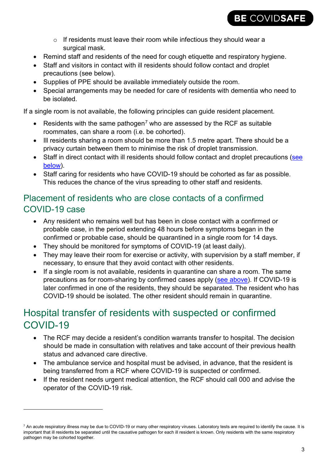

- o If residents must leave their room while infectious they should wear a surgical mask.
- Remind staff and residents of the need for cough etiquette and respiratory hygiene.
- Staff and visitors in contact with ill residents should follow contact and droplet precautions [\(see below\)](#page-3-0).
- Supplies of PPE should be available immediately outside the room.
- Special arrangements may be needed for care of residents with dementia who need to be isolated.

<span id="page-2-0"></span>If a single room is not available, the following principles can guide resident placement.

- Residents with the same pathogen<sup>[7](#page-2-1)</sup> who are assessed by the RCF as suitable roommates, can share a room (i.e. be cohorted).
- Ill residents sharing a room should be more than 1.5 metre apart. There should be a privacy curtain between them to minimise the risk of droplet transmission.
- Staff in direct contact with ill residents should follow contact and droplet precautions (see [below\)](#page-3-0).
- Staff caring for residents who have COVID-19 should be cohorted as far as possible. This reduces the chance of the virus spreading to other staff and residents.

#### Placement of residents who are close contacts of a confirmed COVID-19 case

- Any resident who remains well but has been in close contact with a confirmed or probable case, in the period extending 48 hours before symptoms began in the confirmed or probable case, should be quarantined in a single room for 14 days.
- They should be monitored for symptoms of COVID-19 (at least daily).
- They may leave their room for exercise or activity, with supervision by a staff member, if necessary, to ensure that they avoid contact with other residents.
- If a single room is not available, residents in quarantine can share a room. The same precautions as for room-sharing by confirmed cases apply [\(see above\)](#page-2-0). If COVID-19 is later confirmed in one of the residents, they should be separated. The resident who has COVID-19 should be isolated. The other resident should remain in quarantine.

## Hospital transfer of residents with suspected or confirmed COVID-19

- The RCF may decide a resident's condition warrants transfer to hospital. The decision should be made in consultation with relatives and take account of their previous health status and advanced care directive.
- The ambulance service and hospital must be advised, in advance, that the resident is being transferred from a RCF where COVID-19 is suspected or confirmed.
- If the resident needs urgent medical attention, the RCF should call 000 and advise the operator of the COVID-19 risk.

 $\overline{a}$ 

<span id="page-2-1"></span> $^7$  An acute respiratory illness may be due to COVID-19 or many other respiratory viruses. Laboratory tests are required to identify the cause. It is important that ill residents be separated until the causative pathogen for each ill resident is known. Only residents with the same respiratory pathogen may be cohorted together.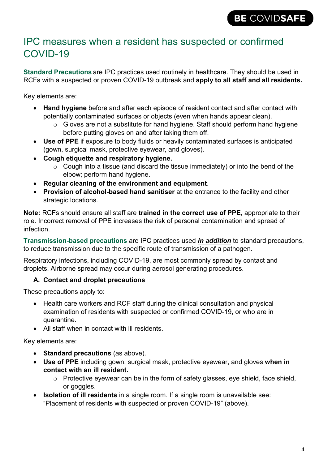#### IPC measures when a resident has suspected or confirmed COVID-19

**Standard Precautions** are IPC practices used routinely in healthcare. They should be used in RCFs with a suspected or proven COVID-19 outbreak and **apply to all staff and all residents.**

Key elements are:

- **Hand hygiene** before and after each episode of resident contact and after contact with potentially contaminated surfaces or objects (even when hands appear clean).
	- $\circ$  Gloves are not a substitute for hand hygiene. Staff should perform hand hygiene before putting gloves on and after taking them off.
- **Use of PPE** if exposure to body fluids or heavily contaminated surfaces is anticipated (gown, surgical mask, protective eyewear, and gloves).
- **Cough etiquette and respiratory hygiene.**
	- $\circ$  Cough into a tissue (and discard the tissue immediately) or into the bend of the elbow; perform hand hygiene.
- **Regular cleaning of the environment and equipment**.
- **Provision of alcohol-based hand sanitiser** at the entrance to the facility and other strategic locations.

**Note:** RCFs should ensure all staff are **trained in the correct use of PPE,** appropriate to their role. Incorrect removal of PPE increases the risk of personal contamination and spread of infection.

**Transmission-based precautions** are IPC practices used *in addition* to standard precautions, to reduce transmission due to the specific route of transmission of a pathogen.

Respiratory infections, including COVID-19, are most commonly spread by contact and droplets. Airborne spread may occur during aerosol generating procedures.

#### <span id="page-3-0"></span>**A. Contact and droplet precautions**

These precautions apply to:

- Health care workers and RCF staff during the clinical consultation and physical examination of residents with suspected or confirmed COVID-19, or who are in quarantine.
- All staff when in contact with ill residents.

Key elements are:

- **Standard precautions** (as above).
- **Use of PPE** including gown, surgical mask, protective eyewear, and gloves **when in contact with an ill resident.**
	- $\circ$  Protective eyewear can be in the form of safety glasses, eye shield, face shield, or goggles.
- **Isolation of ill residents** in a single room. If a single room is unavailable see: "Placement of residents with suspected or proven COVID-19" (above).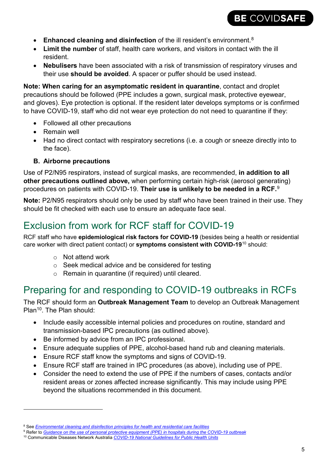

- **Enhanced cleaning and disinfection** of the ill resident's environment. [8](#page-4-0)
- **Limit the number** of staff, health care workers, and visitors in contact with the ill resident.
- **Nebulisers** have been associated with a risk of transmission of respiratory viruses and their use **should be avoided**. A spacer or puffer should be used instead.

**Note: When caring for an asymptomatic resident in quarantine**, contact and droplet precautions should be followed (PPE includes a gown, surgical mask, protective eyewear, and gloves). Eye protection is optional. If the resident later develops symptoms or is confirmed to have COVID-19, staff who did not wear eye protection do not need to quarantine if they:

- Followed all other precautions
- Remain well
- Had no direct contact with respiratory secretions (i.e. a cough or sneeze directly into to the face).

#### **B. Airborne precautions**

Use of P2/N95 respirators, instead of surgical masks, are recommended, **in addition to all other precautions outlined above,** when performing certain high-risk (aerosol generating) procedures on patients with COVID-19. **Their use is unlikely to be needed in a RCF.**[9](#page-4-1)

**Note:** P2/N95 respirators should only be used by staff who have been trained in their use. They should be fit checked with each use to ensure an adequate face seal.

## Exclusion from work for RCF staff for COVID-19

RCF staff who have **epidemiological risk factors for COVID-19** (besides being a health or residential care worker with direct patient contact) or **symptoms consistent with COVID-19**[10](#page-4-2) should:

o Not attend work

 $\overline{a}$ 

- o Seek medical advice and be considered for testing
- o Remain in quarantine (if required) until cleared.

### Preparing for and responding to COVID-19 outbreaks in RCFs

The RCF should form an **Outbreak Management Team** to develop an Outbreak Management Plan<sup>10</sup>. The Plan should:

- Include easily accessible internal policies and procedures on routine, standard and transmission-based IPC precautions (as outlined above).
- Be informed by advice from an IPC professional.
- Ensure adequate supplies of PPE, alcohol-based hand rub and cleaning materials.
- Ensure RCF staff know the symptoms and signs of COVID-19.
- Ensure RCF staff are trained in IPC procedures (as above), including use of PPE.
- Consider the need to extend the use of PPE if the numbers of cases, contacts and/or resident areas or zones affected increase significantly. This may include using PPE beyond the situations recommended in this document.

<span id="page-4-0"></span><sup>&</sup>lt;sup>8</sup> See *[Environmental cleaning and disinfection principles for health and residential care facilities](https://www.health.gov.au/resources/publications/coronavirus-covid-19-environmental-cleaning-and-disinfection-principles-for-health-and-residential-care-facilities)* 

<span id="page-4-1"></span><sup>9</sup> Refer to *[Guidance on the use of personal protective equipment \(PPE\) in hospitals during the COVID-19 outbreak](https://www.health.gov.au/resources/publications/guidance-on-the-use-of-personal-protective-equipment-ppe-in-hospitals-during-the-covid-19-outbreak)*

<span id="page-4-2"></span><sup>10</sup> Communicable Diseases Network Australia *[COVID-19 National Guidelines for Public Health Units](https://www1.health.gov.au/internet/main/publishing.nsf/Content/cdna-song-novel-coronavirus.htm)*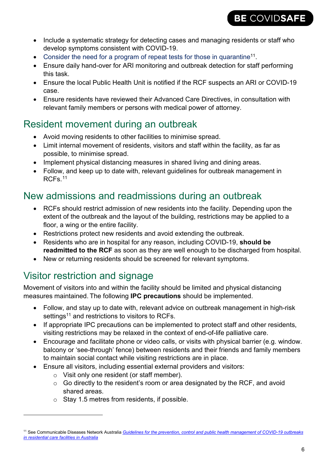- Include a systematic strategy for detecting cases and managing residents or staff who develop symptoms consistent with COVID-19.
- Consider the need for a program of repeat tests for those in quarantine<sup>11</sup>.
- Ensure daily hand-over for ARI monitoring and outbreak detection for staff performing this task.
- Ensure the local Public Health Unit is notified if the RCF suspects an ARI or COVID-19 case.
- Ensure residents have reviewed their Advanced Care Directives, in consultation with relevant family members or persons with medical power of attorney.

#### Resident movement during an outbreak

- Avoid moving residents to other facilities to minimise spread.
- Limit internal movement of residents, visitors and staff within the facility, as far as possible, to minimise spread.
- Implement physical distancing measures in shared living and dining areas.
- Follow, and keep up to date with, relevant guidelines for outbreak management in RCFs. [11](#page-5-0)

### New admissions and readmissions during an outbreak

- RCFs should restrict admission of new residents into the facility. Depending upon the extent of the outbreak and the layout of the building, restrictions may be applied to a floor, a wing or the entire facility.
- Restrictions protect new residents and avoid extending the outbreak.
- Residents who are in hospital for any reason, including COVID-19, **should be readmitted to the RCF** as soon as they are well enough to be discharged from hospital.
- New or returning residents should be screened for relevant symptoms.

# Visitor restriction and signage

-

Movement of visitors into and within the facility should be limited and physical distancing measures maintained. The following **IPC precautions** should be implemented.

- Follow, and stay up to date with, relevant advice on outbreak management in high-risk settings<sup>11</sup> and restrictions to visitors to RCFs.
- If appropriate IPC precautions can be implemented to protect staff and other residents, visiting restrictions may be relaxed in the context of end-of-life palliative care.
- Encourage and facilitate phone or video calls, or visits with physical barrier (e.g. window. balcony or 'see-through' fence) between residents and their friends and family members to maintain social contact while visiting restrictions are in place.
- Ensure all visitors, including essential external providers and visitors:
	- o Visit only one resident (or staff member).
	- o Go directly to the resident's room or area designated by the RCF, and avoid shared areas.
	- o Stay 1.5 metres from residents, if possible.

<span id="page-5-0"></span><sup>11</sup> See Communicable Diseases Network Australia *[Guidelines for the prevention, control and public health management of COVID-19 outbreaks](https://www.health.gov.au/resources/publications/coronavirus-covid-19-guidelines-for-outbreaks-in-residential-care-facilities)  [in residential care facilities in Australia](https://www.health.gov.au/resources/publications/coronavirus-covid-19-guidelines-for-outbreaks-in-residential-care-facilities)*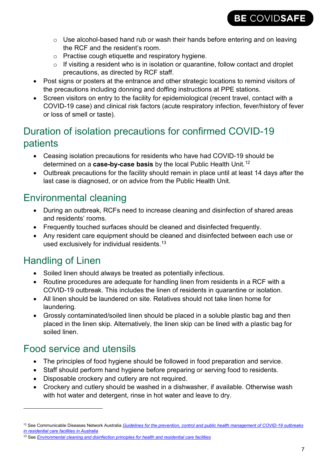

- $\circ$  Use alcohol-based hand rub or wash their hands before entering and on leaving the RCF and the resident's room.
- o Practise cough etiquette and respiratory hygiene.
- $\circ$  If visiting a resident who is in isolation or quarantine, follow contact and droplet precautions, as directed by RCF staff.
- Post signs or posters at the entrance and other strategic locations to remind visitors of the precautions including donning and doffing instructions at PPE stations.
- Screen visitors on entry to the facility for epidemiological (recent travel, contact with a COVID-19 case) and clinical risk factors (acute respiratory infection, fever/history of fever or loss of smell or taste).

### Duration of isolation precautions for confirmed COVID-19 patients

- Ceasing isolation precautions for residents who have had COVID-19 should be determined on a **case-by-case basis** by the local Public Health Unit. [12](#page-6-0)
- Outbreak precautions for the facility should remain in place until at least 14 days after the last case is diagnosed, or on advice from the Public Health Unit.

## Environmental cleaning

- During an outbreak, RCFs need to increase cleaning and disinfection of shared areas and residents' rooms.
- Frequently touched surfaces should be cleaned and disinfected frequently.
- Any resident care equipment should be cleaned and disinfected between each use or used exclusively for individual residents. $^{\rm 13}$  $^{\rm 13}$  $^{\rm 13}$

## Handling of Linen

 $\overline{a}$ 

- Soiled linen should always be treated as potentially infectious.
- Routine procedures are adequate for handling linen from residents in a RCF with a COVID-19 outbreak. This includes the linen of residents in quarantine or isolation.
- All linen should be laundered on site. Relatives should not take linen home for laundering.
- Grossly contaminated/soiled linen should be placed in a soluble plastic bag and then placed in the linen skip. Alternatively, the linen skip can be lined with a plastic bag for soiled linen.

### Food service and utensils

- The principles of food hygiene should be followed in food preparation and service.
- Staff should perform hand hygiene before preparing or serving food to residents.
- Disposable crockery and cutlery are not required.
- Crockery and cutlery should be washed in a dishwasher, if available. Otherwise wash with hot water and detergent, rinse in hot water and leave to dry.

<span id="page-6-0"></span><sup>12</sup> See Communicable Diseases Network Australia *[Guidelines for the prevention, control and public health management of COVID-19 outbreaks](https://www.health.gov.au/resources/publications/coronavirus-covid-19-guidelines-for-outbreaks-in-residential-care-facilities)  [in residential care facilities in Australia](https://www.health.gov.au/resources/publications/coronavirus-covid-19-guidelines-for-outbreaks-in-residential-care-facilities)*

<span id="page-6-1"></span><sup>13</sup> See *[Environmental cleaning and disinfection principles for health and residential care facilities](https://www.health.gov.au/resources/publications/coronavirus-covid-19-environmental-cleaning-and-disinfection-principles-for-health-and-residential-care-facilities)*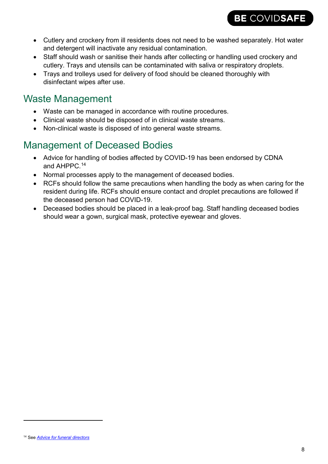• Cutlery and crockery from ill residents does not need to be washed separately. Hot water and detergent will inactivate any residual contamination.

BE COVIDSAFE

- Staff should wash or sanitise their hands after collecting or handling used crockery and cutlery. Trays and utensils can be contaminated with saliva or respiratory droplets.
- Trays and trolleys used for delivery of food should be cleaned thoroughly with disinfectant wipes after use.

# Waste Management

- Waste can be managed in accordance with routine procedures.
- Clinical waste should be disposed of in clinical waste streams.
- Non-clinical waste is disposed of into general waste streams.

# Management of Deceased Bodies

- Advice for handling of bodies affected by COVID-19 has been endorsed by CDNA and AHPPC.[14](#page-7-0)
- Normal processes apply to the management of deceased bodies.
- RCFs should follow the same precautions when handling the body as when caring for the resident during life. RCFs should ensure contact and droplet precautions are followed if the deceased person had COVID-19.
- Deceased bodies should be placed in a leak-proof bag. Staff handling deceased bodies should wear a gown, surgical mask, protective eyewear and gloves.

 $\overline{a}$ 

<span id="page-7-0"></span><sup>14</sup> See *[Advice for funeral directors](https://www.health.gov.au/sites/default/files/documents/2020/03/coronavirus-covid-19-advice-for-funeral-directors-advice-for-funeral-directors-covid-19_1.pdf)*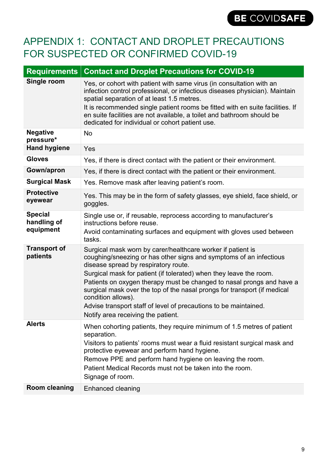## APPENDIX 1: CONTACT AND DROPLET PRECAUTIONS FOR SUSPECTED OR CONFIRMED COVID-19

| <b>Requirements</b>                        | <b>Contact and Droplet Precautions for COVID-19</b>                                                                                                                                                                                                                                                                                                                                                                                                                                                                                  |
|--------------------------------------------|--------------------------------------------------------------------------------------------------------------------------------------------------------------------------------------------------------------------------------------------------------------------------------------------------------------------------------------------------------------------------------------------------------------------------------------------------------------------------------------------------------------------------------------|
| Single room                                | Yes, or cohort with patient with same virus (in consultation with an<br>infection control professional, or infectious diseases physician). Maintain<br>spatial separation of at least 1.5 metres.                                                                                                                                                                                                                                                                                                                                    |
|                                            | It is recommended single patient rooms be fitted with en suite facilities. If<br>en suite facilities are not available, a toilet and bathroom should be<br>dedicated for individual or cohort patient use.                                                                                                                                                                                                                                                                                                                           |
| <b>Negative</b><br>pressure*               | No                                                                                                                                                                                                                                                                                                                                                                                                                                                                                                                                   |
| <b>Hand hygiene</b>                        | Yes                                                                                                                                                                                                                                                                                                                                                                                                                                                                                                                                  |
| <b>Gloves</b>                              | Yes, if there is direct contact with the patient or their environment.                                                                                                                                                                                                                                                                                                                                                                                                                                                               |
| Gown/apron                                 | Yes, if there is direct contact with the patient or their environment.                                                                                                                                                                                                                                                                                                                                                                                                                                                               |
| <b>Surgical Mask</b>                       | Yes. Remove mask after leaving patient's room.                                                                                                                                                                                                                                                                                                                                                                                                                                                                                       |
| <b>Protective</b><br>eyewear               | Yes. This may be in the form of safety glasses, eye shield, face shield, or<br>goggles.                                                                                                                                                                                                                                                                                                                                                                                                                                              |
| <b>Special</b><br>handling of<br>equipment | Single use or, if reusable, reprocess according to manufacturer's<br>instructions before reuse.<br>Avoid contaminating surfaces and equipment with gloves used between<br>tasks.                                                                                                                                                                                                                                                                                                                                                     |
| <b>Transport of</b><br>patients            | Surgical mask worn by carer/healthcare worker if patient is<br>coughing/sneezing or has other signs and symptoms of an infectious<br>disease spread by respiratory route.<br>Surgical mask for patient (if tolerated) when they leave the room.<br>Patients on oxygen therapy must be changed to nasal prongs and have a<br>surgical mask over the top of the nasal prongs for transport (if medical<br>condition allows).<br>Advise transport staff of level of precautions to be maintained.<br>Notify area receiving the patient. |
| <b>Alerts</b>                              | When cohorting patients, they require minimum of 1.5 metres of patient<br>separation.<br>Visitors to patients' rooms must wear a fluid resistant surgical mask and<br>protective eyewear and perform hand hygiene.<br>Remove PPE and perform hand hygiene on leaving the room.<br>Patient Medical Records must not be taken into the room.<br>Signage of room.                                                                                                                                                                       |
| <b>Room cleaning</b>                       | Enhanced cleaning                                                                                                                                                                                                                                                                                                                                                                                                                                                                                                                    |